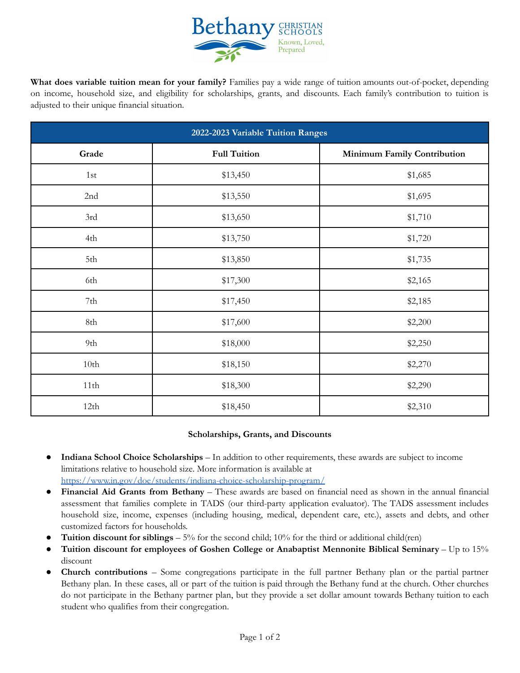

**What does variable tuition mean for your family?** Families pay a wide range of tuition amounts out-of-pocket, depending on income, household size, and eligibility for scholarships, grants, and discounts. Each family's contribution to tuition is adjusted to their unique financial situation.

| 2022-2023 Variable Tuition Ranges |                     |                             |
|-----------------------------------|---------------------|-----------------------------|
| Grade                             | <b>Full Tuition</b> | Minimum Family Contribution |
| 1st                               | \$13,450            | \$1,685                     |
| 2nd                               | \$13,550            | \$1,695                     |
| 3rd                               | \$13,650            | \$1,710                     |
| 4th                               | \$13,750            | \$1,720                     |
| 5th                               | \$13,850            | \$1,735                     |
| 6th                               | \$17,300            | \$2,165                     |
| 7th                               | \$17,450            | \$2,185                     |
| 8th                               | \$17,600            | \$2,200                     |
| 9th                               | \$18,000            | \$2,250                     |
| 10th                              | \$18,150            | \$2,270                     |
| 11th                              | \$18,300            | \$2,290                     |
| 12th                              | \$18,450            | \$2,310                     |

## **Scholarships, Grants, and Discounts**

- **Indiana School Choice Scholarships** In addition to other requirements, these awards are subject to income limitations relative to household size. More information is available at <https://www.in.gov/doe/students/indiana-choice-scholarship-program/>
- **Financial Aid Grants from Bethany** These awards are based on financial need as shown in the annual financial assessment that families complete in TADS (our third-party application evaluator). The TADS assessment includes household size, income, expenses (including housing, medical, dependent care, etc.), assets and debts, and other customized factors for households.
- **Tuition discount for siblings**  $5\%$  for the second child; 10% for the third or additional child(ren)
- **Tuition discount for employees of Goshen College or Anabaptist Mennonite Biblical Seminary** Up to 15% discount
- **● Church contributions** Some congregations participate in the full partner Bethany plan or the partial partner Bethany plan. In these cases, all or part of the tuition is paid through the Bethany fund at the church. Other churches do not participate in the Bethany partner plan, but they provide a set dollar amount towards Bethany tuition to each student who qualifies from their congregation.